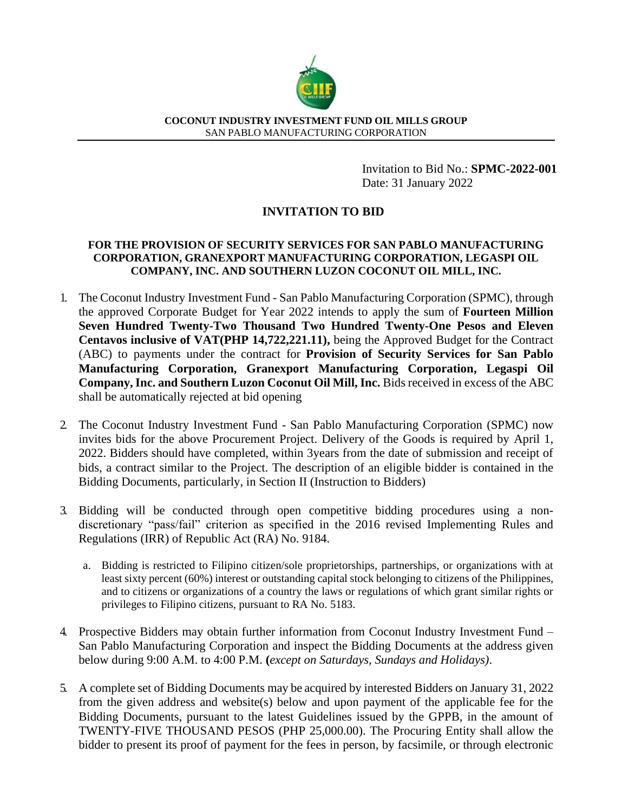

## **COCONUT INDUSTRY INVESTMENT FUND OIL MILLS GROUP** SAN PABLO MANUFACTURING CORPORATION

Invitation to Bid No.: **SPMC-2022-001** Date: 31 January 2022

## **INVITATION TO BID**

## **FOR THE PROVISION OF SECURITY SERVICES FOR SAN PABLO MANUFACTURING CORPORATION, GRANEXPORT MANUFACTURING CORPORATION, LEGASPI OIL COMPANY, INC. AND SOUTHERN LUZON COCONUT OIL MILL, INC.**

- 1. The Coconut Industry Investment Fund San Pablo Manufacturing Corporation (SPMC), through the approved Corporate Budget for Year 2022 intends to apply the sum of **Fourteen Million Seven Hundred Twenty-Two Thousand Two Hundred Twenty-One Pesos and Eleven Centavos inclusive of VAT(PHP 14,722,221.11),** being the Approved Budget for the Contract (ABC) to payments under the contract for **Provision of Security Services for San Pablo Manufacturing Corporation, Granexport Manufacturing Corporation, Legaspi Oil Company, Inc. and Southern Luzon Coconut Oil Mill, Inc.** Bids received in excess of the ABC shall be automatically rejected at bid opening
- 2. The Coconut Industry Investment Fund San Pablo Manufacturing Corporation (SPMC) now invites bids for the above Procurement Project. Delivery of the Goods is required by April 1, 2022. Bidders should have completed, within 3years from the date of submission and receipt of bids, a contract similar to the Project. The description of an eligible bidder is contained in the Bidding Documents, particularly, in Section II (Instruction to Bidders)
- 3. Bidding will be conducted through open competitive bidding procedures using a nondiscretionary "pass/fail" criterion as specified in the 2016 revised Implementing Rules and Regulations (IRR) of Republic Act (RA) No. 9184.
	- a. Bidding is restricted to Filipino citizen/sole proprietorships, partnerships, or organizations with at least sixty percent (60%) interest or outstanding capital stock belonging to citizens of the Philippines, and to citizens or organizations of a country the laws or regulations of which grant similar rights or privileges to Filipino citizens, pursuant to RA No. 5183.
- 4. Prospective Bidders may obtain further information from Coconut Industry Investment Fund San Pablo Manufacturing Corporation and inspect the Bidding Documents at the address given below during 9:00 A.M. to 4:00 P.M. **(***except on Saturdays, Sundays and Holidays)*.
- 5. A complete set of Bidding Documents may be acquired by interested Bidders on January 31, 2022 from the given address and website(s) below and upon payment of the applicable fee for the Bidding Documents, pursuant to the latest Guidelines issued by the GPPB, in the amount of TWENTY-FIVE THOUSAND PESOS (PHP 25,000.00). The Procuring Entity shall allow the bidder to present its proof of payment for the fees in person, by facsimile, or through electronic